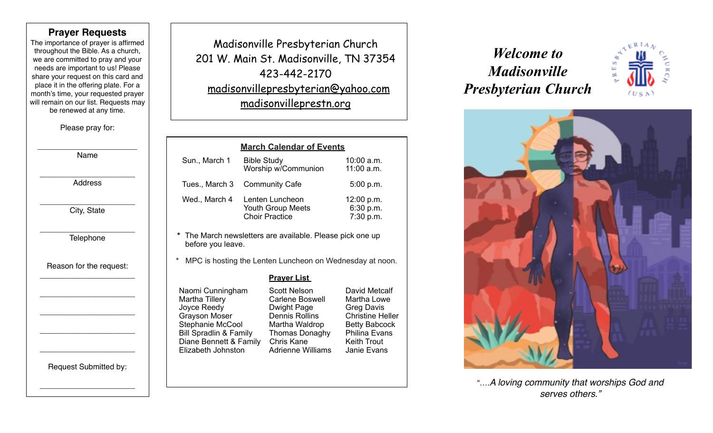### **Prayer Requests**

The importance of prayer is affirmed throughout the Bible. As a church, we are committed to pray and your needs are important to us! Please share your request on this card and place it in the offering plate. For a month's time, your requested prayer will remain on our list. Requests may be renewed at any time.

Please pray for:

\_\_\_\_\_\_\_\_\_\_\_\_\_\_\_\_\_\_\_\_\_\_\_ Name

\_\_\_\_\_\_\_\_\_\_\_\_\_\_\_\_\_\_\_\_\_\_ Address

\_\_\_\_\_\_\_\_\_\_\_\_\_\_\_\_\_\_\_\_\_\_ City, State

\_\_\_\_\_\_\_\_\_\_\_\_\_\_\_\_\_\_\_\_\_\_ Telephone

Reason for the request: \_\_\_\_\_\_\_\_\_\_\_\_\_\_\_\_\_\_\_\_\_\_

\_\_\_\_\_\_\_\_\_\_\_\_\_\_\_\_\_\_\_\_\_\_

\_\_\_\_\_\_\_\_\_\_\_\_\_\_\_\_\_\_\_\_\_\_

\_\_\_\_\_\_\_\_\_\_\_\_\_\_\_\_\_\_\_\_\_\_

\_\_\_\_\_\_\_\_\_\_\_\_\_\_\_\_\_\_\_\_\_\_

Request Submitted by:

\_\_\_\_\_\_\_\_\_\_\_\_\_\_\_\_\_\_\_\_\_\_

Madisonville Presbyterian Church 201 W. Main St. Madisonville, TN 37354 423-442-2170 [madisonvillepresbyterian@yahoo.com](mailto:madisonvillepresbyterian@yahoo.com) [madisonvilleprestn.org](http://madisonvilleprestn.org)

|                                                                                                                                                                                           |                |                                                                                                                                                                     | <b>March Calendar of Events</b>                                                                                                                            |                                      |  |  |
|-------------------------------------------------------------------------------------------------------------------------------------------------------------------------------------------|----------------|---------------------------------------------------------------------------------------------------------------------------------------------------------------------|------------------------------------------------------------------------------------------------------------------------------------------------------------|--------------------------------------|--|--|
|                                                                                                                                                                                           | Sun., March 1  | <b>Bible Study</b>                                                                                                                                                  | Worship w/Communion                                                                                                                                        | $10:00$ a.m.<br>$11:00$ a.m.         |  |  |
|                                                                                                                                                                                           | Tues., March 3 | <b>Community Cafe</b>                                                                                                                                               |                                                                                                                                                            | 5:00 p.m.                            |  |  |
|                                                                                                                                                                                           | Wed., March 4  | Lenten Luncheon<br><b>Youth Group Meets</b><br><b>Choir Practice</b>                                                                                                |                                                                                                                                                            | 12:00 p.m.<br>6:30 p.m.<br>7:30 p.m. |  |  |
| *<br>The March newsletters are available. Please pick one up<br>before you leave.<br>*<br>MPC is hosting the Lenten Luncheon on Wednesday at noon.                                        |                |                                                                                                                                                                     |                                                                                                                                                            |                                      |  |  |
|                                                                                                                                                                                           |                |                                                                                                                                                                     | <u> Prayer List_</u>                                                                                                                                       |                                      |  |  |
| Naomi Cunningham<br><b>Martha Tillery</b><br>Joyce Reedy<br><b>Grayson Moser</b><br>Stephanie McCool<br><b>Bill Spradlin &amp; Family</b><br>Diane Bennett & Family<br>Elizabeth Johnston |                | Scott Nelson<br><b>Carlene Boswell</b><br><b>Dwight Page</b><br>Dennis Rollins<br>Martha Waldrop<br>Thomas Donaghy<br><b>Chris Kane</b><br><b>Adrienne Williams</b> | David Metcalf<br>Martha Lowe<br><b>Greg Davis</b><br><b>Christine Heller</b><br><b>Betty Babcock</b><br>Philina Evans<br><b>Keith Trout</b><br>Janie Evans |                                      |  |  |

# *Welcome to Madisonville Presbyterian Church*





"….*A loving community that worships God and serves others."*